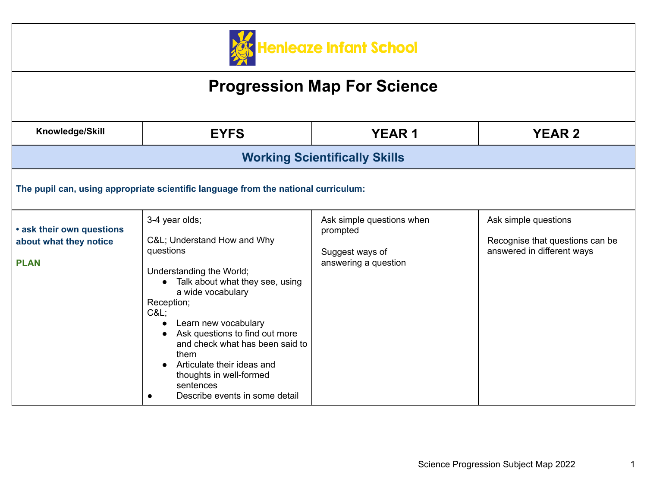

| <b>Progression Map For Science</b>                                                 |                                                                                                                                                                                                                                                                                                                                                                                 |                                                                                  |                                                                                       |  |
|------------------------------------------------------------------------------------|---------------------------------------------------------------------------------------------------------------------------------------------------------------------------------------------------------------------------------------------------------------------------------------------------------------------------------------------------------------------------------|----------------------------------------------------------------------------------|---------------------------------------------------------------------------------------|--|
| Knowledge/Skill                                                                    | <b>EYFS</b>                                                                                                                                                                                                                                                                                                                                                                     | <b>YEAR1</b>                                                                     | <b>YEAR 2</b>                                                                         |  |
| <b>Working Scientifically Skills</b>                                               |                                                                                                                                                                                                                                                                                                                                                                                 |                                                                                  |                                                                                       |  |
| The pupil can, using appropriate scientific language from the national curriculum: |                                                                                                                                                                                                                                                                                                                                                                                 |                                                                                  |                                                                                       |  |
| • ask their own questions<br>about what they notice<br><b>PLAN</b>                 | 3-4 year olds;<br>C&L Understand How and Why<br>questions<br>Understanding the World;<br>Talk about what they see, using<br>a wide vocabulary<br>Reception;<br>C&L<br>Learn new vocabulary<br>Ask questions to find out more<br>and check what has been said to<br>them<br>Articulate their ideas and<br>thoughts in well-formed<br>sentences<br>Describe events in some detail | Ask simple questions when<br>prompted<br>Suggest ways of<br>answering a question | Ask simple questions<br>Recognise that questions can be<br>answered in different ways |  |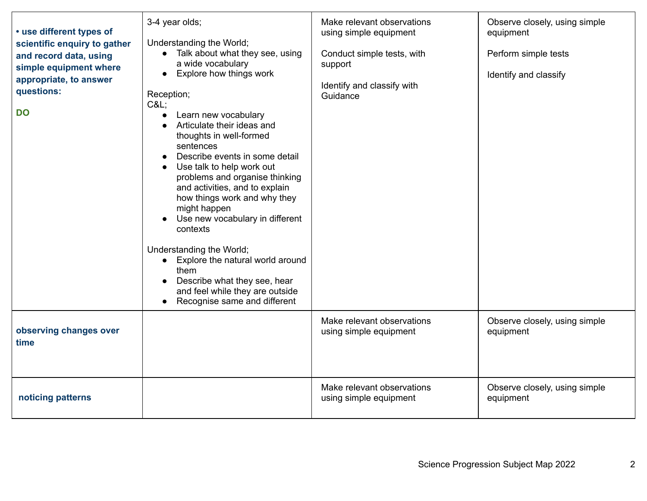| • use different types of<br>scientific enquiry to gather<br>and record data, using<br>simple equipment where<br>appropriate, to answer<br>questions:<br><b>DO</b> | 3-4 year olds;<br>Understanding the World;<br>• Talk about what they see, using<br>a wide vocabulary<br>Explore how things work<br>Reception;<br>C&L<br>Learn new vocabulary<br>Articulate their ideas and<br>thoughts in well-formed<br>sentences<br>Describe events in some detail<br>Use talk to help work out<br>problems and organise thinking<br>and activities, and to explain<br>how things work and why they<br>might happen<br>Use new vocabulary in different<br>contexts<br>Understanding the World;<br>Explore the natural world around<br>them<br>Describe what they see, hear<br>and feel while they are outside<br>Recognise same and different | Make relevant observations<br>using simple equipment<br>Conduct simple tests, with<br>support<br>Identify and classify with<br>Guidance | Observe closely, using simple<br>equipment<br>Perform simple tests<br>Identify and classify |
|-------------------------------------------------------------------------------------------------------------------------------------------------------------------|-----------------------------------------------------------------------------------------------------------------------------------------------------------------------------------------------------------------------------------------------------------------------------------------------------------------------------------------------------------------------------------------------------------------------------------------------------------------------------------------------------------------------------------------------------------------------------------------------------------------------------------------------------------------|-----------------------------------------------------------------------------------------------------------------------------------------|---------------------------------------------------------------------------------------------|
| observing changes over<br>time                                                                                                                                    |                                                                                                                                                                                                                                                                                                                                                                                                                                                                                                                                                                                                                                                                 | Make relevant observations<br>using simple equipment                                                                                    | Observe closely, using simple<br>equipment                                                  |
| noticing patterns                                                                                                                                                 |                                                                                                                                                                                                                                                                                                                                                                                                                                                                                                                                                                                                                                                                 | Make relevant observations<br>using simple equipment                                                                                    | Observe closely, using simple<br>equipment                                                  |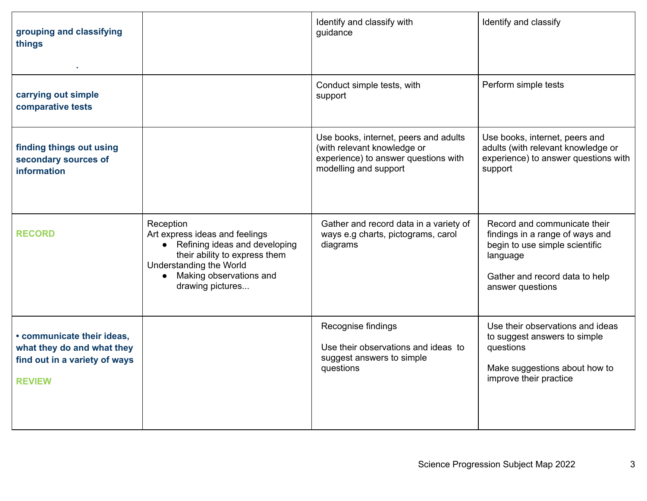| grouping and classifying<br>things                                                                         |                                                                                                                                                                                                        | Identify and classify with<br>guidance                                                                                                | Identify and classify                                                                                                                                               |
|------------------------------------------------------------------------------------------------------------|--------------------------------------------------------------------------------------------------------------------------------------------------------------------------------------------------------|---------------------------------------------------------------------------------------------------------------------------------------|---------------------------------------------------------------------------------------------------------------------------------------------------------------------|
| carrying out simple<br>comparative tests                                                                   |                                                                                                                                                                                                        | Conduct simple tests, with<br>support                                                                                                 | Perform simple tests                                                                                                                                                |
| finding things out using<br>secondary sources of<br><b>information</b>                                     |                                                                                                                                                                                                        | Use books, internet, peers and adults<br>(with relevant knowledge or<br>experience) to answer questions with<br>modelling and support | Use books, internet, peers and<br>adults (with relevant knowledge or<br>experience) to answer questions with<br>support                                             |
| <b>RECORD</b>                                                                                              | Reception<br>Art express ideas and feelings<br>• Refining ideas and developing<br>their ability to express them<br>Understanding the World<br>Making observations and<br>$\bullet$<br>drawing pictures | Gather and record data in a variety of<br>ways e.g charts, pictograms, carol<br>diagrams                                              | Record and communicate their<br>findings in a range of ways and<br>begin to use simple scientific<br>language<br>Gather and record data to help<br>answer questions |
| • communicate their ideas,<br>what they do and what they<br>find out in a variety of ways<br><b>REVIEW</b> |                                                                                                                                                                                                        | Recognise findings<br>Use their observations and ideas to<br>suggest answers to simple<br>questions                                   | Use their observations and ideas<br>to suggest answers to simple<br>questions<br>Make suggestions about how to<br>improve their practice                            |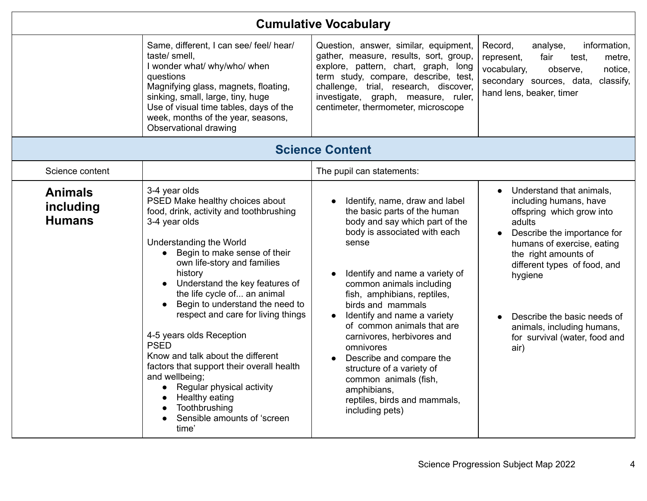| <b>Cumulative Vocabulary</b>                 |                                                                                                                                                                                                                                                                                                                                                                                                                                                                                                                                                                                                                    |                                                                                                                                                                                                                                                                                                                                                                                                                                                                                                                                                   |                                                                                                                                                                                                                                                                                                                                              |
|----------------------------------------------|--------------------------------------------------------------------------------------------------------------------------------------------------------------------------------------------------------------------------------------------------------------------------------------------------------------------------------------------------------------------------------------------------------------------------------------------------------------------------------------------------------------------------------------------------------------------------------------------------------------------|---------------------------------------------------------------------------------------------------------------------------------------------------------------------------------------------------------------------------------------------------------------------------------------------------------------------------------------------------------------------------------------------------------------------------------------------------------------------------------------------------------------------------------------------------|----------------------------------------------------------------------------------------------------------------------------------------------------------------------------------------------------------------------------------------------------------------------------------------------------------------------------------------------|
|                                              | Same, different, I can see/ feel/ hear/<br>taste/ smell,<br>I wonder what/ why/who/ when<br>questions<br>Magnifying glass, magnets, floating,<br>sinking, small, large, tiny, huge<br>Use of visual time tables, days of the<br>week, months of the year, seasons,<br>Observational drawing                                                                                                                                                                                                                                                                                                                        | Question, answer, similar, equipment,<br>gather, measure, results, sort, group,<br>explore, pattern, chart, graph, long<br>term study, compare, describe, test,<br>challenge, trial, research, discover,<br>investigate, graph, measure, ruler,<br>centimeter, thermometer, microscope                                                                                                                                                                                                                                                            | analyse,<br>Record,<br>information,<br>represent,<br>fair<br>test,<br>metre,<br>vocabulary,<br>observe,<br>notice,<br>secondary sources, data, classify,<br>hand lens, beaker, timer                                                                                                                                                         |
| <b>Science Content</b>                       |                                                                                                                                                                                                                                                                                                                                                                                                                                                                                                                                                                                                                    |                                                                                                                                                                                                                                                                                                                                                                                                                                                                                                                                                   |                                                                                                                                                                                                                                                                                                                                              |
| Science content                              |                                                                                                                                                                                                                                                                                                                                                                                                                                                                                                                                                                                                                    | The pupil can statements:                                                                                                                                                                                                                                                                                                                                                                                                                                                                                                                         |                                                                                                                                                                                                                                                                                                                                              |
| <b>Animals</b><br>including<br><b>Humans</b> | 3-4 year olds<br>PSED Make healthy choices about<br>food, drink, activity and toothbrushing<br>3-4 year olds<br>Understanding the World<br>Begin to make sense of their<br>own life-story and families<br>history<br>Understand the key features of<br>the life cycle of an animal<br>Begin to understand the need to<br>respect and care for living things<br>4-5 years olds Reception<br><b>PSED</b><br>Know and talk about the different<br>factors that support their overall health<br>and wellbeing;<br>Regular physical activity<br>Healthy eating<br>Toothbrushing<br>Sensible amounts of 'screen<br>time' | Identify, name, draw and label<br>$\bullet$<br>the basic parts of the human<br>body and say which part of the<br>body is associated with each<br>sense<br>Identify and name a variety of<br>common animals including<br>fish, amphibians, reptiles,<br>birds and mammals<br>Identify and name a variety<br>$\bullet$<br>of common animals that are<br>carnivores, herbivores and<br>omnivores<br>Describe and compare the<br>structure of a variety of<br>common animals (fish,<br>amphibians,<br>reptiles, birds and mammals,<br>including pets) | Understand that animals,<br>$\bullet$<br>including humans, have<br>offspring which grow into<br>adults<br>Describe the importance for<br>humans of exercise, eating<br>the right amounts of<br>different types of food, and<br>hygiene<br>Describe the basic needs of<br>animals, including humans,<br>for survival (water, food and<br>air) |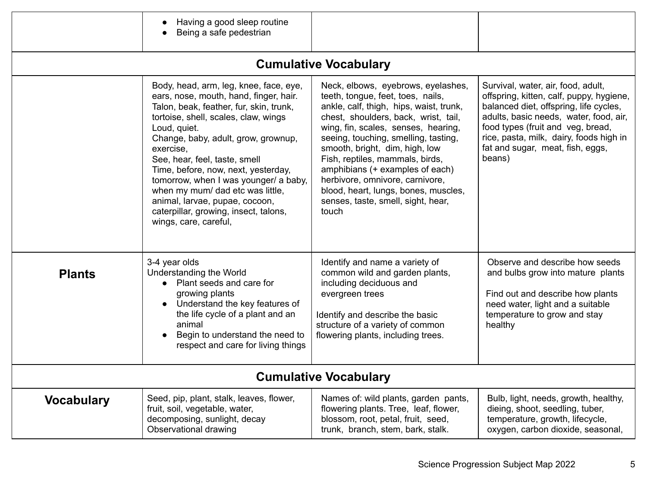|                              | Having a good sleep routine<br>$\bullet$<br>Being a safe pedestrian                                                                                                                                                                                                                                                                                                                                                                                                                              |                                                                                                                                                                                                                                                                                                                                                                                                                                                                             |                                                                                                                                                                                                                                                                                                  |
|------------------------------|--------------------------------------------------------------------------------------------------------------------------------------------------------------------------------------------------------------------------------------------------------------------------------------------------------------------------------------------------------------------------------------------------------------------------------------------------------------------------------------------------|-----------------------------------------------------------------------------------------------------------------------------------------------------------------------------------------------------------------------------------------------------------------------------------------------------------------------------------------------------------------------------------------------------------------------------------------------------------------------------|--------------------------------------------------------------------------------------------------------------------------------------------------------------------------------------------------------------------------------------------------------------------------------------------------|
|                              |                                                                                                                                                                                                                                                                                                                                                                                                                                                                                                  | <b>Cumulative Vocabulary</b>                                                                                                                                                                                                                                                                                                                                                                                                                                                |                                                                                                                                                                                                                                                                                                  |
|                              | Body, head, arm, leg, knee, face, eye,<br>ears, nose, mouth, hand, finger, hair.<br>Talon, beak, feather, fur, skin, trunk,<br>tortoise, shell, scales, claw, wings<br>Loud, quiet.<br>Change, baby, adult, grow, grownup,<br>exercise,<br>See, hear, feel, taste, smell<br>Time, before, now, next, yesterday,<br>tomorrow, when I was younger/ a baby,<br>when my mum/ dad etc was little,<br>animal, larvae, pupae, cocoon,<br>caterpillar, growing, insect, talons,<br>wings, care, careful, | Neck, elbows, eyebrows, eyelashes,<br>teeth, tongue, feet, toes, nails,<br>ankle, calf, thigh, hips, waist, trunk,<br>chest, shoulders, back, wrist, tail,<br>wing, fin, scales, senses, hearing,<br>seeing, touching, smelling, tasting,<br>smooth, bright, dim, high, low<br>Fish, reptiles, mammals, birds,<br>amphibians (+ examples of each)<br>herbivore, omnivore, carnivore,<br>blood, heart, lungs, bones, muscles,<br>senses, taste, smell, sight, hear,<br>touch | Survival, water, air, food, adult,<br>offspring, kitten, calf, puppy, hygiene,<br>balanced diet, offspring, life cycles,<br>adults, basic needs, water, food, air,<br>food types (fruit and veg, bread,<br>rice, pasta, milk, dairy, foods high in<br>fat and sugar, meat, fish, eggs,<br>beans) |
| <b>Plants</b>                | 3-4 year olds<br>Understanding the World<br>Plant seeds and care for<br>growing plants<br>Understand the key features of<br>$\bullet$<br>the life cycle of a plant and an<br>animal<br>Begin to understand the need to<br>respect and care for living things                                                                                                                                                                                                                                     | Identify and name a variety of<br>common wild and garden plants,<br>including deciduous and<br>evergreen trees<br>Identify and describe the basic<br>structure of a variety of common<br>flowering plants, including trees.                                                                                                                                                                                                                                                 | Observe and describe how seeds<br>and bulbs grow into mature plants<br>Find out and describe how plants<br>need water, light and a suitable<br>temperature to grow and stay<br>healthy                                                                                                           |
| <b>Cumulative Vocabulary</b> |                                                                                                                                                                                                                                                                                                                                                                                                                                                                                                  |                                                                                                                                                                                                                                                                                                                                                                                                                                                                             |                                                                                                                                                                                                                                                                                                  |
| <b>Vocabulary</b>            | Seed, pip, plant, stalk, leaves, flower,<br>fruit, soil, vegetable, water,<br>decomposing, sunlight, decay<br>Observational drawing                                                                                                                                                                                                                                                                                                                                                              | Names of: wild plants, garden pants,<br>flowering plants. Tree, leaf, flower,<br>blossom, root, petal, fruit, seed,<br>trunk, branch, stem, bark, stalk.                                                                                                                                                                                                                                                                                                                    | Bulb, light, needs, growth, healthy,<br>dieing, shoot, seedling, tuber,<br>temperature, growth, lifecycle,<br>oxygen, carbon dioxide, seasonal,                                                                                                                                                  |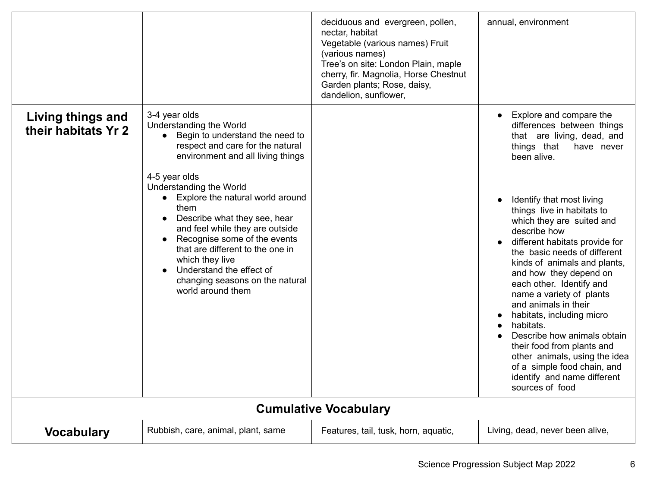|                                          |                                                                                                                                                                                                                                                                                                                                                                                                                                                                                                                      | deciduous and evergreen, pollen,<br>nectar, habitat<br>Vegetable (various names) Fruit<br>(various names)<br>Tree's on site: London Plain, maple<br>cherry, fir. Magnolia, Horse Chestnut<br>Garden plants; Rose, daisy,<br>dandelion, sunflower, | annual, environment                                                                                                                                                                                                                                                                                                                                                                                                                                                                                                                                                                                                                                                                       |
|------------------------------------------|----------------------------------------------------------------------------------------------------------------------------------------------------------------------------------------------------------------------------------------------------------------------------------------------------------------------------------------------------------------------------------------------------------------------------------------------------------------------------------------------------------------------|---------------------------------------------------------------------------------------------------------------------------------------------------------------------------------------------------------------------------------------------------|-------------------------------------------------------------------------------------------------------------------------------------------------------------------------------------------------------------------------------------------------------------------------------------------------------------------------------------------------------------------------------------------------------------------------------------------------------------------------------------------------------------------------------------------------------------------------------------------------------------------------------------------------------------------------------------------|
| Living things and<br>their habitats Yr 2 | 3-4 year olds<br>Understanding the World<br>Begin to understand the need to<br>$\bullet$<br>respect and care for the natural<br>environment and all living things<br>4-5 year olds<br>Understanding the World<br>Explore the natural world around<br>them<br>Describe what they see, hear<br>and feel while they are outside<br>Recognise some of the events<br>$\bullet$<br>that are different to the one in<br>which they live<br>Understand the effect of<br>changing seasons on the natural<br>world around them |                                                                                                                                                                                                                                                   | Explore and compare the<br>$\bullet$<br>differences between things<br>that are living, dead, and<br>things that<br>have never<br>been alive.<br>Identify that most living<br>things live in habitats to<br>which they are suited and<br>describe how<br>different habitats provide for<br>the basic needs of different<br>kinds of animals and plants,<br>and how they depend on<br>each other. Identify and<br>name a variety of plants<br>and animals in their<br>habitats, including micro<br>habitats.<br>Describe how animals obtain<br>their food from plants and<br>other animals, using the idea<br>of a simple food chain, and<br>identify and name different<br>sources of food |
| <b>Cumulative Vocabulary</b>             |                                                                                                                                                                                                                                                                                                                                                                                                                                                                                                                      |                                                                                                                                                                                                                                                   |                                                                                                                                                                                                                                                                                                                                                                                                                                                                                                                                                                                                                                                                                           |
| <b>Vocabulary</b>                        | Rubbish, care, animal, plant, same                                                                                                                                                                                                                                                                                                                                                                                                                                                                                   | Features, tail, tusk, horn, aquatic,                                                                                                                                                                                                              | Living, dead, never been alive,                                                                                                                                                                                                                                                                                                                                                                                                                                                                                                                                                                                                                                                           |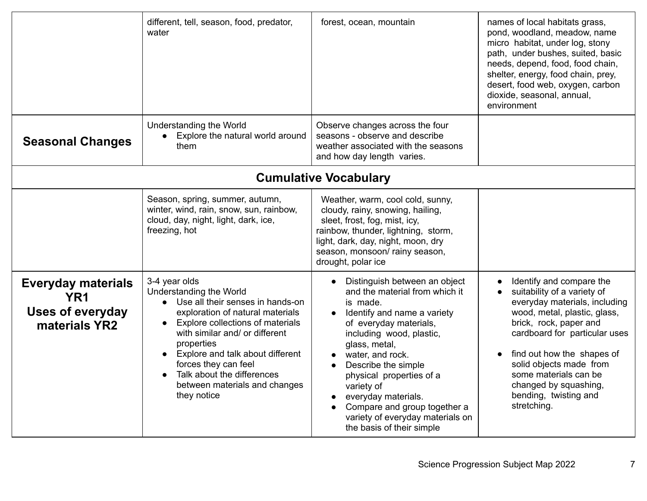|                                                                                          | different, tell, season, food, predator,<br>water                                                                                                                                                                                                                                                                                                                      | forest, ocean, mountain                                                                                                                                                                                                                                                                                                                                                                                                                                         | names of local habitats grass,<br>pond, woodland, meadow, name<br>micro habitat, under log, stony<br>path, under bushes, suited, basic<br>needs, depend, food, food chain,<br>shelter, energy, food chain, prey,<br>desert, food web, oxygen, carbon<br>dioxide, seasonal, annual,<br>environment                                                                             |
|------------------------------------------------------------------------------------------|------------------------------------------------------------------------------------------------------------------------------------------------------------------------------------------------------------------------------------------------------------------------------------------------------------------------------------------------------------------------|-----------------------------------------------------------------------------------------------------------------------------------------------------------------------------------------------------------------------------------------------------------------------------------------------------------------------------------------------------------------------------------------------------------------------------------------------------------------|-------------------------------------------------------------------------------------------------------------------------------------------------------------------------------------------------------------------------------------------------------------------------------------------------------------------------------------------------------------------------------|
| <b>Seasonal Changes</b>                                                                  | <b>Understanding the World</b><br>Explore the natural world around<br>them                                                                                                                                                                                                                                                                                             | Observe changes across the four<br>seasons - observe and describe<br>weather associated with the seasons<br>and how day length varies.                                                                                                                                                                                                                                                                                                                          |                                                                                                                                                                                                                                                                                                                                                                               |
|                                                                                          |                                                                                                                                                                                                                                                                                                                                                                        | <b>Cumulative Vocabulary</b>                                                                                                                                                                                                                                                                                                                                                                                                                                    |                                                                                                                                                                                                                                                                                                                                                                               |
|                                                                                          | Season, spring, summer, autumn,<br>winter, wind, rain, snow, sun, rainbow,<br>cloud, day, night, light, dark, ice,<br>freezing, hot                                                                                                                                                                                                                                    | Weather, warm, cool cold, sunny,<br>cloudy, rainy, snowing, hailing,<br>sleet, frost, fog, mist, icy,<br>rainbow, thunder, lightning, storm,<br>light, dark, day, night, moon, dry<br>season, monsoon/ rainy season,<br>drought, polar ice                                                                                                                                                                                                                      |                                                                                                                                                                                                                                                                                                                                                                               |
| <b>Everyday materials</b><br>YR <sub>1</sub><br><b>Uses of everyday</b><br>materials YR2 | 3-4 year olds<br>Understanding the World<br>• Use all their senses in hands-on<br>exploration of natural materials<br><b>Explore collections of materials</b><br>$\bullet$<br>with similar and/ or different<br>properties<br>• Explore and talk about different<br>forces they can feel<br>Talk about the differences<br>between materials and changes<br>they notice | Distinguish between an object<br>$\bullet$<br>and the material from which it<br>is made.<br>Identify and name a variety<br>$\bullet$<br>of everyday materials,<br>including wood, plastic,<br>glass, metal,<br>water, and rock.<br>$\bullet$<br>Describe the simple<br>physical properties of a<br>variety of<br>everyday materials.<br>$\bullet$<br>Compare and group together a<br>$\bullet$<br>variety of everyday materials on<br>the basis of their simple | Identify and compare the<br>$\bullet$<br>suitability of a variety of<br>$\bullet$<br>everyday materials, including<br>wood, metal, plastic, glass,<br>brick, rock, paper and<br>cardboard for particular uses<br>find out how the shapes of<br>$\bullet$<br>solid objects made from<br>some materials can be<br>changed by squashing,<br>bending, twisting and<br>stretching. |